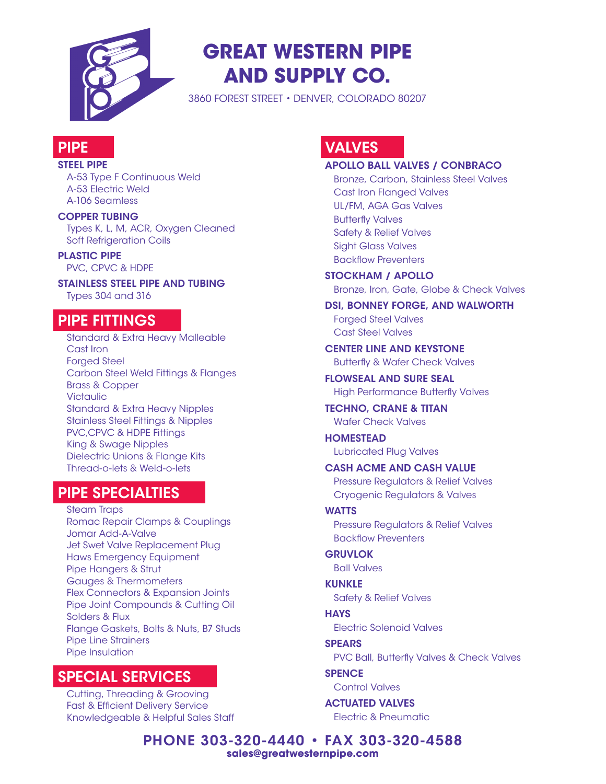

# **GREAT WESTERN PIPE AND SUPPLY CO.**

3860 FOREST STREET • DENVER, COLORADO 80207

### **PIPE**

#### STEEL PIPE

A-53 Type F Continuous Weld A-53 Electric Weld A-106 Seamless

#### COPPER TUBING

Types K, L, M, ACR, Oxygen Cleaned Soft Refrigeration Coils

PLASTIC PIPE PVC, CPVC & HDPE

STAINLESS STEEL PIPE AND TUBING Types 304 and 316

### **PIPE FITTINGS**

Standard & Extra Heavy Malleable Cast Iron **Forged Steel** Carbon Steel Weld Fittings & Flanges Brass & Copper **Victaulic** Standard & Extra Heavy Nipples Stainless Steel Fittings & Nipples PVC,CPVC & HDPE Fittings King & Swage Nipples Dielectric Unions & Flange Kits Thread-o-lets & Weld-o-lets

### PIPE SPECIALTIES

Steam Traps Romac Repair Clamps & Couplings Jomar Add-A-Valve Jet Swet Valve Replacement Plug Haws Emergency Equipment Pipe Hangers & Strut Gauges & Thermometers Flex Connectors & Expansion Joints Pipe Joint Compounds & Cutting Oil Solders & Flux Flange Gaskets, Bolts & Nuts, B7 Studs Pipe Line Strainers Pipe Insulation

### **SPECIAL SERVICES**

Cutting, Threading & Grooving Fast & Efficient Delivery Service Knowledgeable & Helpful Sales Staff

# **VALVES**

#### APOLLO BALL VALVES / CONBRACO

Bronze, Carbon, Stainless Steel Valves Cast Iron Flanged Valves UL/FM, AGA Gas Valves Butterfly Valves Safety & Relief Valves Sight Glass Valves Backflow Preventers

STOCKHAM / APOLLO Bronze, Iron, Gate, Globe & Check Valves

DSI, BONNEY FORGE, AND WALWORTH Forged Steel Valves Cast Steel Valves

# CENTER LINE AND KEYSTONE

Butterfly & Wafer Check Valves

FLOWSEAL AND SURE SEAL High Performance Butterfly Valves

TECHNO, CRANE & TITAN Wafer Check Valves

HOMESTEAD Lubricated Plug Valves

CASH ACME AND CASH VALUE Pressure Regulators & Relief Valves

Cryogenic Regulators & Valves

#### **WATTS**

Pressure Regulators & Relief Valves Backflow Preventers

**GRUVLOK** Ball Valves

**KUNKLE** Safety & Relief Valves

**HAYS** Electric Solenoid Valves

**SPEARS** PVC Ball, Butterfly Valves & Check Valves

**SPENCE** Control Valves

ACTUATED VALVES Electric & Pneumatic

PHONE 303-320-4440 • FAX 303-320-4588 **sales@greatwesternpipe.com**